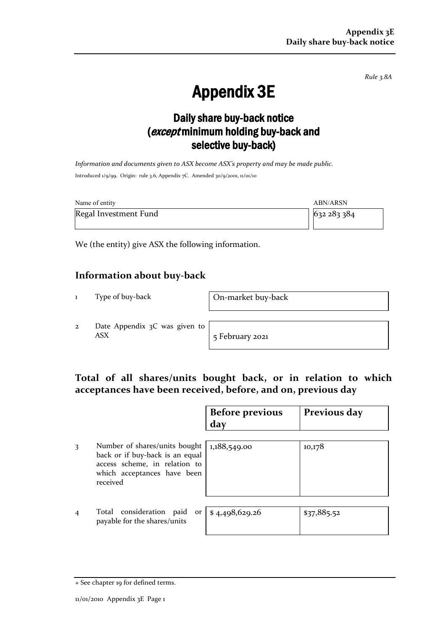*Rule 3.8A*

# Appendix 3E

## Daily share buy-back notice (except minimum holding buy-back and selective buy-back)

*Information and documents given to ASX become ASX's property and may be made public.* Introduced 1/9/99. Origin: rule 3.6, Appendix 7C. Amended 30/9/2001, 11/01/10

| Name of entity        | ABN/ARSN  |
|-----------------------|-----------|
| Regal Investment Fund | 632283384 |

We (the entity) give ASX the following information.

### **Information about buy-back**

1 Type of buy-back On-market buy-back

2 Date Appendix 3C was given to ASX 5 February 2021

### **Total of all shares/units bought back, or in relation to which acceptances have been received, before, and on, previous day**

|                |                                                                                                                                              | <b>Before previous</b><br>day | Previous day |
|----------------|----------------------------------------------------------------------------------------------------------------------------------------------|-------------------------------|--------------|
| 3              | Number of shares/units bought<br>back or if buy-back is an equal<br>access scheme, in relation to<br>which acceptances have been<br>received | 1,188,549.00                  | 10,178       |
| $\overline{4}$ | Total consideration paid<br>or<br>payable for the shares/units                                                                               | \$4,498,629.26                | \$37,885.52  |

<sup>+</sup> See chapter 19 for defined terms.